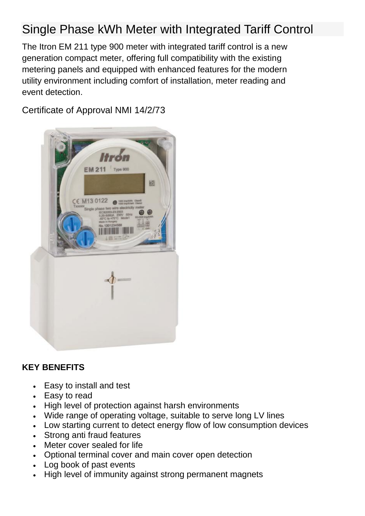## Single Phase kWh Meter with Integrated Tariff Control

The Itron EM 211 type 900 meter with integrated tariff control is a new generation compact meter, offering full compatibility with the existing metering panels and equipped with enhanced features for the modern utility environment including comfort of installation, meter reading and event detection.

Certificate of Approval NMI 14/2/73



## **KEY BENEFITS**

- Easy to install and test
- Easy to read
- High level of protection against harsh environments
- Wide range of operating voltage, suitable to serve long LV lines
- Low starting current to detect energy flow of low consumption devices
- Strong anti fraud features
- Meter cover sealed for life
- Optional terminal cover and main cover open detection
- Log book of past events
- High level of immunity against strong permanent magnets